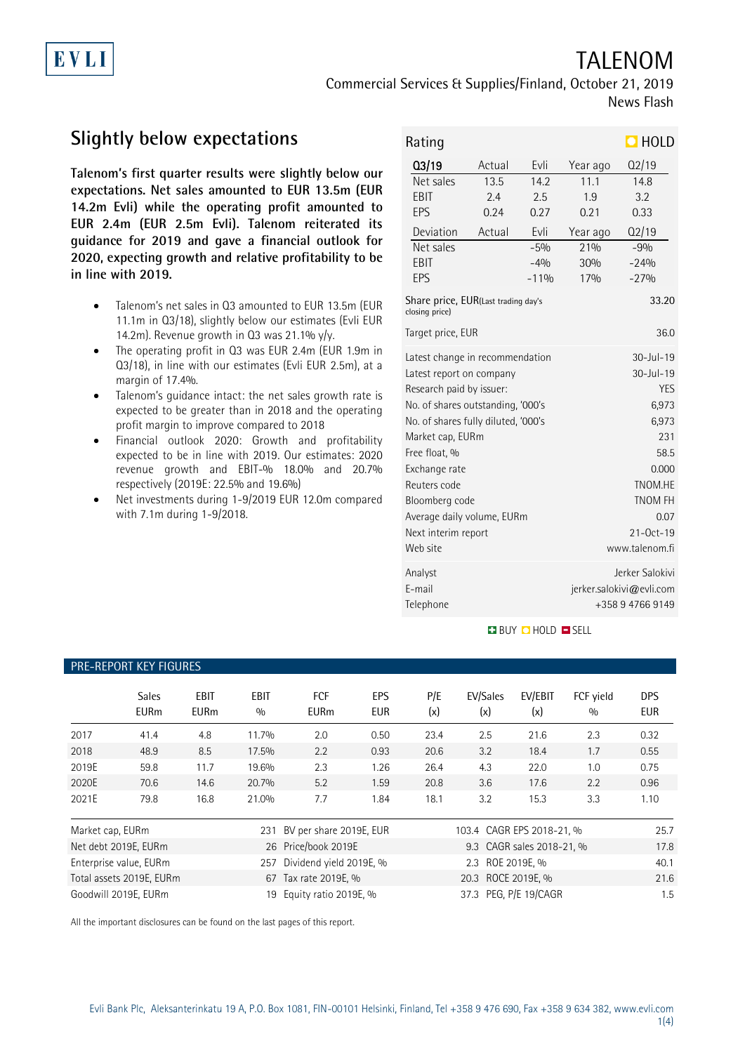# TALENOM

Commercial Services & Supplies/Finland, October 21, 2019 News Flash

# **Slightly below expectations**

EVLI

**Talenom's first quarter results were slightly below our expectations. Net sales amounted to EUR 13.5m (EUR 14.2m Evli) while the operating profit amounted to EUR 2.4m (EUR 2.5m Evli). Talenom reiterated its guidance for 2019 and gave a financial outlook for 2020, expecting growth and relative profitability to be in line with 2019.**

- Talenom's net sales in Q3 amounted to EUR 13.5m (EUR 11.1m in Q3/18), slightly below our estimates (Evli EUR 14.2m). Revenue growth in  $03$  was 21.1% y/y.
- The operating profit in Q3 was EUR 2.4m (EUR 1.9m in Q3/18), in line with our estimates (Evli EUR 2.5m), at a margin of 17.4%.
- Talenom's guidance intact: the net sales growth rate is expected to be greater than in 2018 and the operating profit margin to improve compared to 2018
- Financial outlook 2020: Growth and profitability expected to be in line with 2019. Our estimates: 2020 revenue growth and EBIT-% 18.0% and 20.7% respectively (2019E: 22.5% and 19.6%)
- Net investments during 1-9/2019 EUR 12.0m compared with 7.1m during 1-9/2018.

| Rating                                                |        | $\Box$ HOLD |                          |        |  |  |
|-------------------------------------------------------|--------|-------------|--------------------------|--------|--|--|
| Q3/19                                                 | Actual | Evli        | Year ago                 | Q2/19  |  |  |
| $\overline{\mathsf{N}}$ et sales                      | 13.5   | 14.2        | 11.1                     | 14.8   |  |  |
| EBIT                                                  | 2.4    | 2.5         | 1.9                      | 3.2    |  |  |
| EPS                                                   | 0.24   | 0.27        | 0.21                     | 0.33   |  |  |
| Deviation                                             | Actual | Evli        | Year ago                 | Q2/19  |  |  |
| Net sales                                             |        | $-5%$       | 210h                     | $-9%$  |  |  |
| EBIT                                                  |        | $-4%$       | 30%                      | $-24%$ |  |  |
| EPS                                                   |        | $-11%$      | 17%                      | $-27%$ |  |  |
| Share price, EUR(Last trading day's<br>closing price) |        | 33.20       |                          |        |  |  |
| Target price, EUR                                     |        | 36.0        |                          |        |  |  |
| Latest change in recommendation                       |        |             | $30 - 11 - 19$           |        |  |  |
| Latest report on company                              |        |             | $30 -$ Jul-19            |        |  |  |
| Research paid by issuer:                              |        |             | <b>YES</b>               |        |  |  |
| No. of shares outstanding, '000's                     |        |             | 6,973                    |        |  |  |
| No. of shares fully diluted, '000's                   |        |             | 6,973                    |        |  |  |
| Market cap, EURm                                      |        |             | 231                      |        |  |  |
| Free float, %                                         |        |             | 58.5                     |        |  |  |
| Exchange rate                                         |        |             | 0.000                    |        |  |  |
| Reuters code                                          |        |             | TNOM.HE                  |        |  |  |
| Bloomberg code                                        |        |             | <b>TNOM FH</b>           |        |  |  |
| Average daily volume, EURm                            |        |             | 0.07                     |        |  |  |
| Next interim report                                   |        |             | $21 - 0ct - 19$          |        |  |  |
| Web site                                              |        |             | www.talenom.fi           |        |  |  |
| Analyst                                               |        |             | Jerker Salokivi          |        |  |  |
| F-mail                                                |        |             | jerker.salokivi@evli.com |        |  |  |
| Telephone                                             |        |             | +358 9 4766 9149         |        |  |  |

**BUY O HOLD O SELL** 

### PRE-REPORT KEY FIGURES

|                  | <b>Sales</b><br><b>EURm</b> | <b>EBIT</b><br><b>EURm</b> | <b>EBIT</b><br>0/0 | <b>FCF</b><br><b>EURm</b> | EPS<br><b>EUR</b> | P/E<br>(x) | EV/Sales<br>(x)           | EV/EBIT<br>(x)            | FCF yield<br>0/0 | <b>DPS</b><br><b>EUR</b> |
|------------------|-----------------------------|----------------------------|--------------------|---------------------------|-------------------|------------|---------------------------|---------------------------|------------------|--------------------------|
| 2017             | 41.4                        | 4.8                        | 11.7%              | 2.0                       | 0.50              | 23.4       | 2.5                       | 21.6                      | 2.3              | 0.32                     |
| 2018             | 48.9                        | 8.5                        | 17.5%              | 2.2                       | 0.93              | 20.6       | 3.2                       | 18.4                      | 1.7              | 0.55                     |
| 2019E            | 59.8                        | 11.7                       | 19.6%              | 2.3                       | 1.26              | 26.4       | 4.3                       | 22.0                      | 1.0              | 0.75                     |
| 2020E            | 70.6                        | 14.6                       | 20.7%              | 5.2                       | 1.59              | 20.8       | 3.6                       | 17.6                      | 2.2              | 0.96                     |
| 2021E            | 79.8                        | 16.8                       | 21.0%              | 7.7                       | 1.84              | 18.1       | 3.2                       | 15.3                      | 3.3              | 1.10                     |
| Market cap, EURm |                             |                            | 231                | BV per share 2019E, EUR   |                   |            | 103.4 CAGR EPS 2018-21, % |                           |                  | 25.7                     |
|                  | Net debt 2019E, EURm        |                            |                    | 26 Price/book 2019E       |                   |            |                           | 9.3 CAGR sales 2018-21, % |                  | 17.8                     |
|                  | Enterprise value, EURm      |                            | 257                | Dividend yield 2019E, %   |                   |            | 2.3 ROE 2019E, %          |                           |                  | 40.1                     |
|                  | Total assets 2019E, EURm    |                            |                    | 67 Tax rate 2019E, %      |                   |            | 20.3 ROCE 2019E, %        |                           |                  | 21.6                     |
|                  | Goodwill 2019E. EURm        |                            | 19                 | Equity ratio 2019E, %     |                   |            | 37.3 PEG. P/E 19/CAGR     |                           |                  | 1.5                      |

All the important disclosures can be found on the last pages of this report.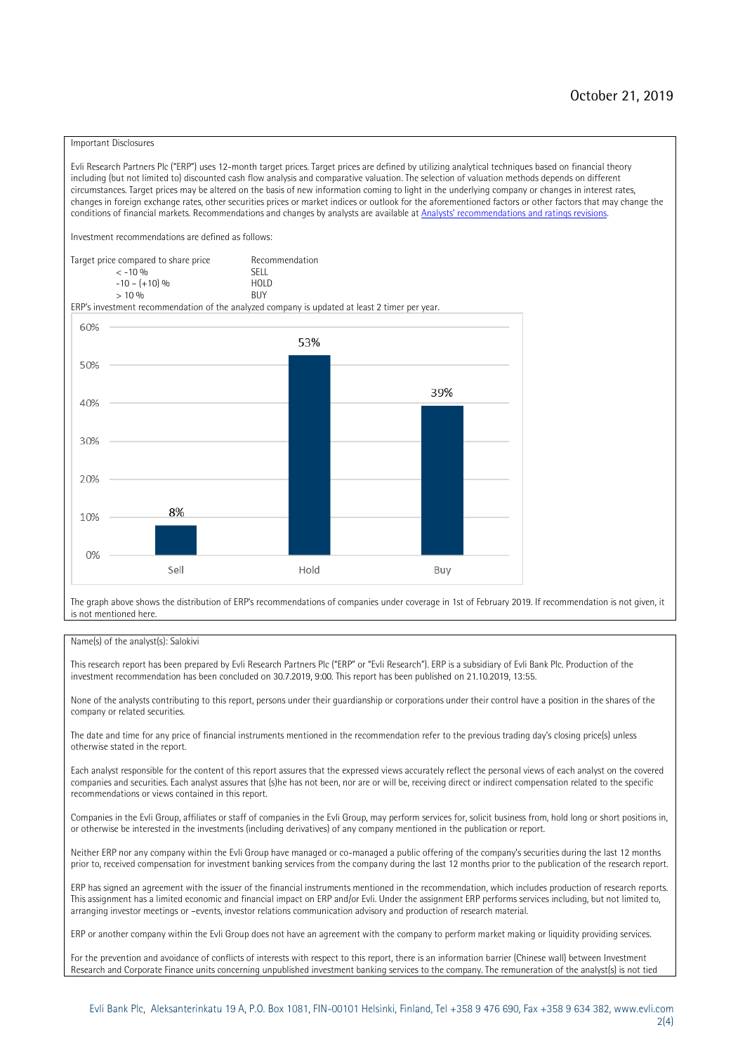#### Important Disclosures

Evli Research Partners Plc ("ERP") uses 12-month target prices. Target prices are defined by utilizing analytical techniques based on financial theory including (but not limited to) discounted cash flow analysis and comparative valuation. The selection of valuation methods depends on different circumstances. Target prices may be altered on the basis of new information coming to light in the underlying company or changes in interest rates, changes in foreign exchange rates, other securities prices or market indices or outlook for the aforementioned factors or other factors that may change the conditions of financial markets. Recommendations and changes by analysts are available at [Analysts' recommendations and ratings revisions](https://research.evli.com/JasperAllModels.action?authParam=key;461&authParam=x;G3rNagWrtf7K&authType=3). Investment recommendations are defined as follows: Target price compared to share price Recommendation<br> $\leq 10\%$  $\langle 5, 10, 10 \rangle$  SELL<br>  $\langle -10, 6, 10 \rangle$  SELL<br>  $\langle 10, 10, 10 \rangle$  $-10 - (+10) \%$  HOLD<br>> 10 % BUY  $> 10\%$ ERP's investment recommendation of the analyzed company is updated at least 2 timer per year. 60% 53% 50% 39% 40% 30%  $20%$ 8% 10% 0% Sell Hold Buy

The graph above shows the distribution of ERP's recommendations of companies under coverage in 1st of February 2019. If recommendation is not given, it is not mentioned here.

#### Name(s) of the analyst(s): Salokivi

This research report has been prepared by Evli Research Partners Plc ("ERP" or "Evli Research"). ERP is a subsidiary of Evli Bank Plc. Production of the investment recommendation has been concluded on 30.7.2019, 9:00. This report has been published on 21.10.2019, 13:55.

None of the analysts contributing to this report, persons under their guardianship or corporations under their control have a position in the shares of the company or related securities.

The date and time for any price of financial instruments mentioned in the recommendation refer to the previous trading day's closing price(s) unless otherwise stated in the report.

Each analyst responsible for the content of this report assures that the expressed views accurately reflect the personal views of each analyst on the covered companies and securities. Each analyst assures that (s)he has not been, nor are or will be, receiving direct or indirect compensation related to the specific recommendations or views contained in this report.

Companies in the Evli Group, affiliates or staff of companies in the Evli Group, may perform services for, solicit business from, hold long or short positions in, or otherwise be interested in the investments (including derivatives) of any company mentioned in the publication or report.

Neither ERP nor any company within the Evli Group have managed or co-managed a public offering of the company's securities during the last 12 months prior to, received compensation for investment banking services from the company during the last 12 months prior to the publication of the research report.

ERP has signed an agreement with the issuer of the financial instruments mentioned in the recommendation, which includes production of research reports. This assignment has a limited economic and financial impact on ERP and/or Evli. Under the assignment ERP performs services including, but not limited to, arranging investor meetings or –events, investor relations communication advisory and production of research material.

ERP or another company within the Evli Group does not have an agreement with the company to perform market making or liquidity providing services.

For the prevention and avoidance of conflicts of interests with respect to this report, there is an information barrier (Chinese wall) between Investment Research and Corporate Finance units concerning unpublished investment banking services to the company. The remuneration of the analyst(s) is not tied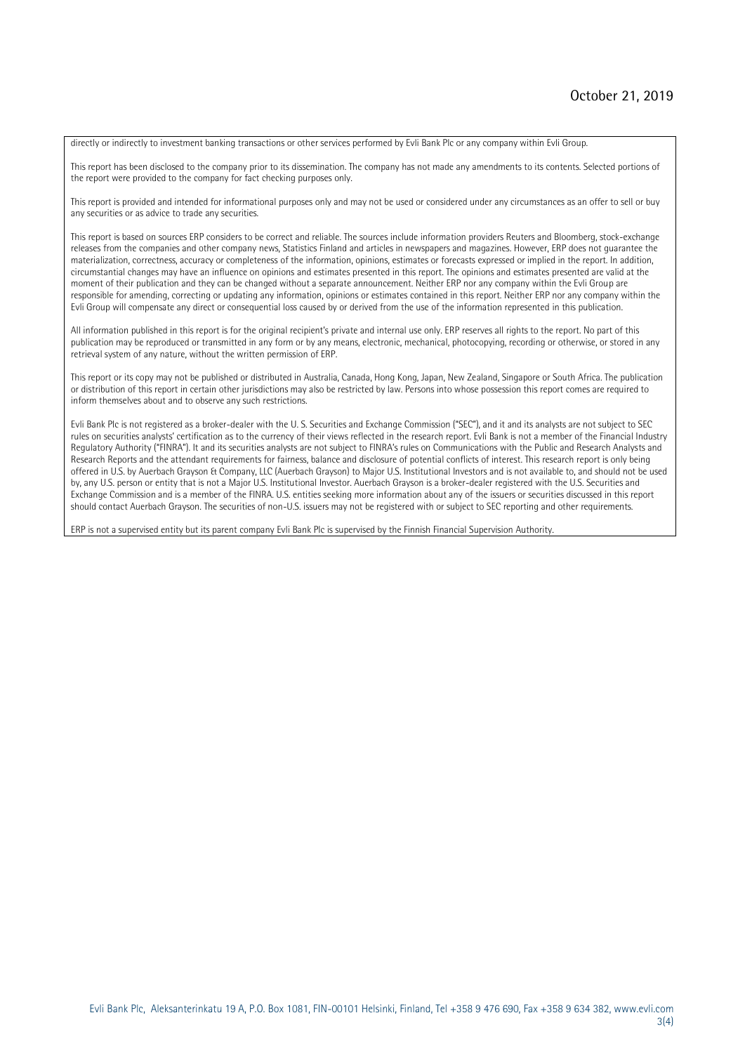directly or indirectly to investment banking transactions or other services performed by Evli Bank Plc or any company within Evli Group.

This report has been disclosed to the company prior to its dissemination. The company has not made any amendments to its contents. Selected portions of the report were provided to the company for fact checking purposes only.

This report is provided and intended for informational purposes only and may not be used or considered under any circumstances as an offer to sell or buy any securities or as advice to trade any securities.

This report is based on sources ERP considers to be correct and reliable. The sources include information providers Reuters and Bloomberg, stock-exchange releases from the companies and other company news, Statistics Finland and articles in newspapers and magazines. However, ERP does not guarantee the materialization, correctness, accuracy or completeness of the information, opinions, estimates or forecasts expressed or implied in the report. In addition, circumstantial changes may have an influence on opinions and estimates presented in this report. The opinions and estimates presented are valid at the moment of their publication and they can be changed without a separate announcement. Neither ERP nor any company within the Evli Group are responsible for amending, correcting or updating any information, opinions or estimates contained in this report. Neither ERP nor any company within the Evli Group will compensate any direct or consequential loss caused by or derived from the use of the information represented in this publication.

All information published in this report is for the original recipient's private and internal use only. ERP reserves all rights to the report. No part of this publication may be reproduced or transmitted in any form or by any means, electronic, mechanical, photocopying, recording or otherwise, or stored in any retrieval system of any nature, without the written permission of ERP.

This report or its copy may not be published or distributed in Australia, Canada, Hong Kong, Japan, New Zealand, Singapore or South Africa. The publication or distribution of this report in certain other jurisdictions may also be restricted by law. Persons into whose possession this report comes are required to inform themselves about and to observe any such restrictions.

Evli Bank Plc is not registered as a broker-dealer with the U. S. Securities and Exchange Commission ("SEC"), and it and its analysts are not subject to SEC rules on securities analysts' certification as to the currency of their views reflected in the research report. Evli Bank is not a member of the Financial Industry Regulatory Authority ("FINRA"). It and its securities analysts are not subject to FINRA's rules on Communications with the Public and Research Analysts and Research Reports and the attendant requirements for fairness, balance and disclosure of potential conflicts of interest. This research report is only being offered in U.S. by Auerbach Grayson & Company, LLC (Auerbach Grayson) to Major U.S. Institutional Investors and is not available to, and should not be used by, any U.S. person or entity that is not a Major U.S. Institutional Investor. Auerbach Grayson is a broker-dealer registered with the U.S. Securities and Exchange Commission and is a member of the FINRA. U.S. entities seeking more information about any of the issuers or securities discussed in this report should contact Auerbach Grayson. The securities of non-U.S. issuers may not be registered with or subject to SEC reporting and other requirements.

ERP is not a supervised entity but its parent company Evli Bank Plc is supervised by the Finnish Financial Supervision Authority.